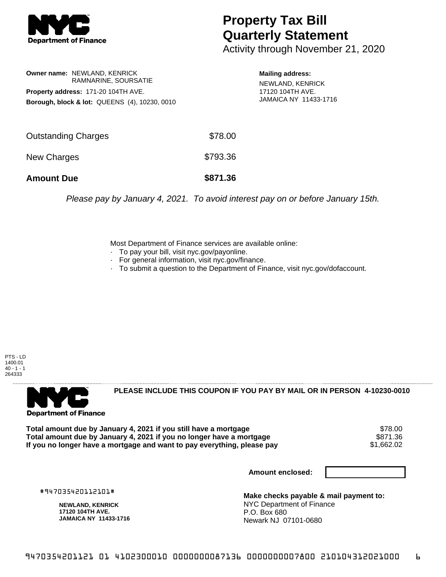

## **Property Tax Bill Quarterly Statement**

Activity through November 21, 2020

**Owner name:** NEWLAND, KENRICK RAMNARINE, SOURSATIE **Property address:** 171-20 104TH AVE. **Borough, block & lot:** QUEENS (4), 10230, 0010

**Mailing address:** NEWLAND, KENRICK 17120 104TH AVE. JAMAICA NY 11433-1716

| <b>Amount Due</b>          | \$871.36 |
|----------------------------|----------|
| New Charges                | \$793.36 |
| <b>Outstanding Charges</b> | \$78.00  |

Please pay by January 4, 2021. To avoid interest pay on or before January 15th.

Most Department of Finance services are available online:

- · To pay your bill, visit nyc.gov/payonline.
- For general information, visit nyc.gov/finance.
- · To submit a question to the Department of Finance, visit nyc.gov/dofaccount.

PTS - LD 1400.01  $40 - 1 - 1$ 264333



**PLEASE INCLUDE THIS COUPON IF YOU PAY BY MAIL OR IN PERSON 4-10230-0010** 

**Total amount due by January 4, 2021 if you still have a mortgage** \$78.00 Total amount due by January 4, 2021 if you no longer have a mortgage **\$871.36 \$871.36**<br>If you no longer have a mortgage and want to pay everything, please pay If you no longer have a mortgage and want to pay everything, please pay

**Amount enclosed:**

#947035420112101#

**NEWLAND, KENRICK 17120 104TH AVE. JAMAICA NY 11433-1716**

**Make checks payable & mail payment to:** NYC Department of Finance P.O. Box 680 Newark NJ 07101-0680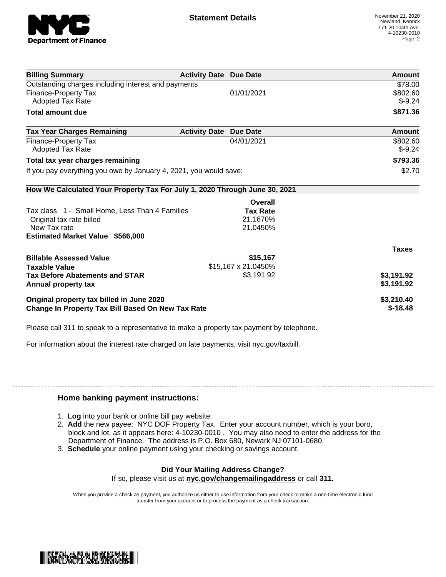

| <b>Billing Summary</b>                                                     | <b>Activity Date Due Date</b> |                     | Amount        |
|----------------------------------------------------------------------------|-------------------------------|---------------------|---------------|
| Outstanding charges including interest and payments                        |                               |                     | \$78.00       |
| <b>Finance-Property Tax</b>                                                |                               | 01/01/2021          | \$802.60      |
| <b>Adopted Tax Rate</b>                                                    |                               |                     | $$-9.24$      |
| <b>Total amount due</b>                                                    |                               |                     | \$871.36      |
| <b>Tax Year Charges Remaining</b>                                          | <b>Activity Date Due Date</b> |                     | <b>Amount</b> |
| <b>Finance-Property Tax</b>                                                |                               | 04/01/2021          | \$802.60      |
| Adopted Tax Rate                                                           |                               |                     | $$-9.24$      |
| Total tax year charges remaining                                           |                               |                     | \$793.36      |
| If you pay everything you owe by January 4, 2021, you would save:          |                               |                     | \$2.70        |
| How We Calculated Your Property Tax For July 1, 2020 Through June 30, 2021 |                               |                     |               |
|                                                                            |                               | Overall             |               |
| Tax class 1 - Small Home, Less Than 4 Families                             |                               | <b>Tax Rate</b>     |               |
| Original tax rate billed                                                   |                               | 21.1670%            |               |
| New Tax rate                                                               |                               | 21.0450%            |               |
| <b>Estimated Market Value \$566,000</b>                                    |                               |                     |               |
|                                                                            |                               |                     | <b>Taxes</b>  |
| <b>Billable Assessed Value</b>                                             |                               | \$15,167            |               |
| <b>Taxable Value</b>                                                       |                               | \$15,167 x 21.0450% |               |
| <b>Tax Before Abatements and STAR</b>                                      |                               | \$3,191.92          | \$3,191.92    |
| Annual property tax                                                        |                               |                     | \$3,191.92    |
| Original property tax billed in June 2020                                  |                               |                     | \$3,210.40    |
| <b>Change In Property Tax Bill Based On New Tax Rate</b>                   |                               |                     | $$-18.48$     |

Please call 311 to speak to a representative to make a property tax payment by telephone.

For information about the interest rate charged on late payments, visit nyc.gov/taxbill.

## **Home banking payment instructions:**

- 1. **Log** into your bank or online bill pay website.
- 2. **Add** the new payee: NYC DOF Property Tax. Enter your account number, which is your boro, block and lot, as it appears here: 4-10230-0010 . You may also need to enter the address for the Department of Finance. The address is P.O. Box 680, Newark NJ 07101-0680.
- 3. **Schedule** your online payment using your checking or savings account.

## **Did Your Mailing Address Change?**

If so, please visit us at **nyc.gov/changemailingaddress** or call **311.**

When you provide a check as payment, you authorize us either to use information from your check to make a one-time electronic fund transfer from your account or to process the payment as a check transaction.